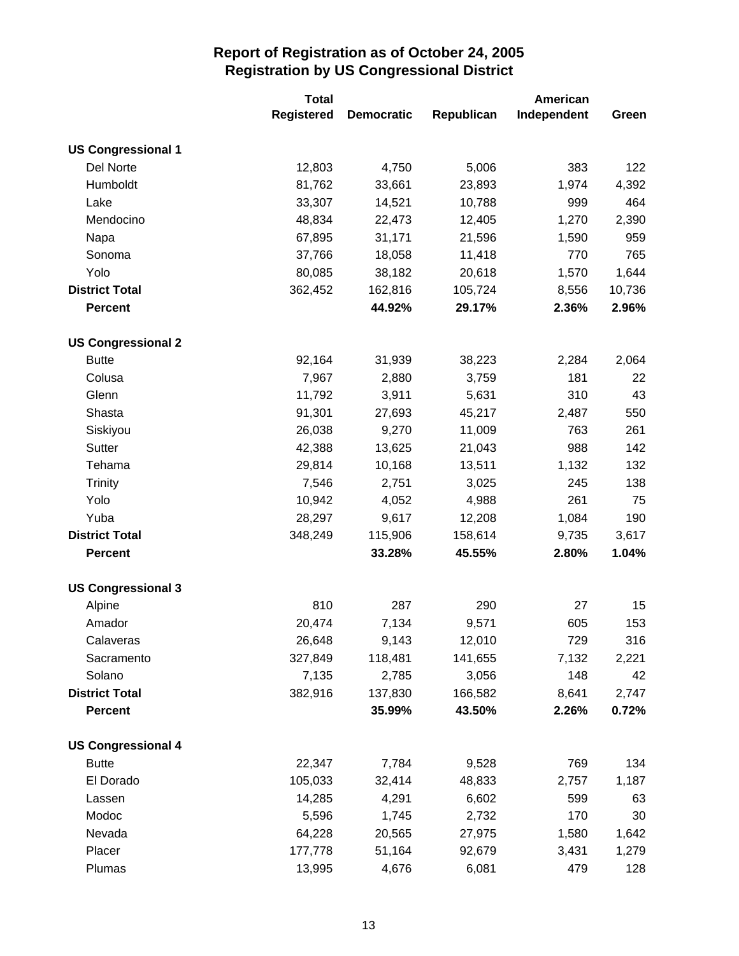|                           | <b>Total</b>      |                   |            | American    |        |
|---------------------------|-------------------|-------------------|------------|-------------|--------|
|                           | <b>Registered</b> | <b>Democratic</b> | Republican | Independent | Green  |
| <b>US Congressional 1</b> |                   |                   |            |             |        |
| Del Norte                 | 12,803            | 4,750             | 5,006      | 383         | 122    |
| Humboldt                  | 81,762            | 33,661            | 23,893     | 1,974       | 4,392  |
| Lake                      | 33,307            | 14,521            | 10,788     | 999         | 464    |
| Mendocino                 | 48,834            | 22,473            | 12,405     | 1,270       | 2,390  |
| Napa                      | 67,895            | 31,171            | 21,596     | 1,590       | 959    |
| Sonoma                    | 37,766            | 18,058            | 11,418     | 770         | 765    |
| Yolo                      | 80,085            | 38,182            | 20,618     | 1,570       | 1,644  |
| <b>District Total</b>     | 362,452           | 162,816           | 105,724    | 8,556       | 10,736 |
| <b>Percent</b>            |                   | 44.92%            | 29.17%     | 2.36%       | 2.96%  |
| <b>US Congressional 2</b> |                   |                   |            |             |        |
| <b>Butte</b>              | 92,164            | 31,939            | 38,223     | 2,284       | 2,064  |
| Colusa                    | 7,967             | 2,880             | 3,759      | 181         | 22     |
| Glenn                     | 11,792            | 3,911             | 5,631      | 310         | 43     |
| Shasta                    | 91,301            | 27,693            | 45,217     | 2,487       | 550    |
| Siskiyou                  | 26,038            | 9,270             | 11,009     | 763         | 261    |
| Sutter                    | 42,388            | 13,625            | 21,043     | 988         | 142    |
| Tehama                    | 29,814            | 10,168            | 13,511     | 1,132       | 132    |
| <b>Trinity</b>            | 7,546             | 2,751             | 3,025      | 245         | 138    |
| Yolo                      | 10,942            | 4,052             | 4,988      | 261         | 75     |
| Yuba                      | 28,297            | 9,617             | 12,208     | 1,084       | 190    |
| <b>District Total</b>     | 348,249           | 115,906           | 158,614    | 9,735       | 3,617  |
| <b>Percent</b>            |                   | 33.28%            | 45.55%     | 2.80%       | 1.04%  |
| <b>US Congressional 3</b> |                   |                   |            |             |        |
| Alpine                    | 810               | 287               | 290        | 27          | 15     |
| Amador                    | 20,474            | 7,134             | 9,571      | 605         | 153    |
| Calaveras                 | 26,648            | 9,143             | 12,010     | 729         | 316    |
| Sacramento                | 327,849           | 118,481           | 141,655    | 7,132       | 2,221  |
| Solano                    | 7,135             | 2,785             | 3,056      | 148         | 42     |
| <b>District Total</b>     | 382,916           | 137,830           | 166,582    | 8,641       | 2,747  |
| <b>Percent</b>            |                   | 35.99%            | 43.50%     | 2.26%       | 0.72%  |
| <b>US Congressional 4</b> |                   |                   |            |             |        |
| <b>Butte</b>              | 22,347            | 7,784             | 9,528      | 769         | 134    |
| El Dorado                 | 105,033           | 32,414            | 48,833     | 2,757       | 1,187  |
| Lassen                    | 14,285            | 4,291             | 6,602      | 599         | 63     |
| Modoc                     | 5,596             | 1,745             | 2,732      | 170         | 30     |
| Nevada                    | 64,228            | 20,565            | 27,975     | 1,580       | 1,642  |
| Placer                    | 177,778           | 51,164            | 92,679     | 3,431       | 1,279  |
| Plumas                    | 13,995            | 4,676             | 6,081      | 479         | 128    |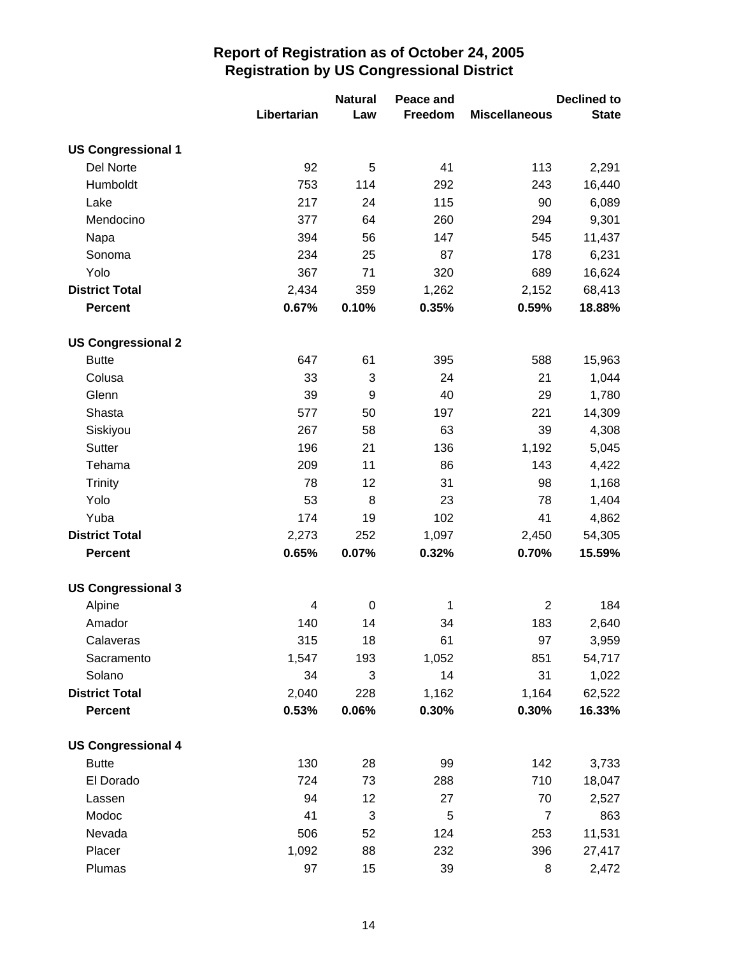|                           |             | <b>Natural</b> | Peace and |                      | <b>Declined to</b> |
|---------------------------|-------------|----------------|-----------|----------------------|--------------------|
|                           | Libertarian | Law            | Freedom   | <b>Miscellaneous</b> | <b>State</b>       |
| <b>US Congressional 1</b> |             |                |           |                      |                    |
| Del Norte                 | 92          | 5              | 41        | 113                  | 2,291              |
| Humboldt                  | 753         | 114            | 292       | 243                  | 16,440             |
| Lake                      | 217         | 24             | 115       | 90                   | 6,089              |
| Mendocino                 | 377         | 64             | 260       | 294                  | 9,301              |
| Napa                      | 394         | 56             | 147       | 545                  | 11,437             |
| Sonoma                    | 234         | 25             | 87        | 178                  | 6,231              |
| Yolo                      | 367         | 71             | 320       | 689                  | 16,624             |
| <b>District Total</b>     | 2,434       | 359            | 1,262     | 2,152                | 68,413             |
| <b>Percent</b>            | 0.67%       | 0.10%          | 0.35%     | 0.59%                | 18.88%             |
| <b>US Congressional 2</b> |             |                |           |                      |                    |
| <b>Butte</b>              | 647         | 61             | 395       | 588                  | 15,963             |
| Colusa                    | 33          | 3              | 24        | 21                   | 1,044              |
| Glenn                     | 39          | 9              | 40        | 29                   | 1,780              |
| Shasta                    | 577         | 50             | 197       | 221                  | 14,309             |
| Siskiyou                  | 267         | 58             | 63        | 39                   | 4,308              |
| Sutter                    | 196         | 21             | 136       | 1,192                | 5,045              |
| Tehama                    | 209         | 11             | 86        | 143                  | 4,422              |
| <b>Trinity</b>            | 78          | 12             | 31        | 98                   | 1,168              |
| Yolo                      | 53          | 8              | 23        | 78                   | 1,404              |
| Yuba                      | 174         | 19             | 102       | 41                   | 4,862              |
| <b>District Total</b>     | 2,273       | 252            | 1,097     | 2,450                | 54,305             |
| <b>Percent</b>            | 0.65%       | 0.07%          | 0.32%     | 0.70%                | 15.59%             |
| <b>US Congressional 3</b> |             |                |           |                      |                    |
| Alpine                    | 4           | $\pmb{0}$      | 1         | $\overline{2}$       | 184                |
| Amador                    | 140         | 14             | 34        | 183                  | 2,640              |
| Calaveras                 | 315         | 18             | 61        | 97                   | 3,959              |
| Sacramento                | 1,547       | 193            | 1,052     | 851                  | 54,717             |
| Solano                    | 34          | 3              | 14        | 31                   | 1,022              |
| <b>District Total</b>     | 2,040       | 228            | 1,162     | 1,164                | 62,522             |
| <b>Percent</b>            | 0.53%       | 0.06%          | 0.30%     | 0.30%                | 16.33%             |
| <b>US Congressional 4</b> |             |                |           |                      |                    |
| <b>Butte</b>              | 130         | 28             | 99        | 142                  | 3,733              |
| El Dorado                 | 724         | 73             | 288       | 710                  | 18,047             |
| Lassen                    | 94          | 12             | 27        | 70                   | 2,527              |
| Modoc                     | 41          | 3              | 5         | $\overline{7}$       | 863                |
| Nevada                    | 506         | 52             | 124       | 253                  | 11,531             |
| Placer                    | 1,092       | 88             | 232       | 396                  | 27,417             |
| Plumas                    | 97          | 15             | 39        | 8                    | 2,472              |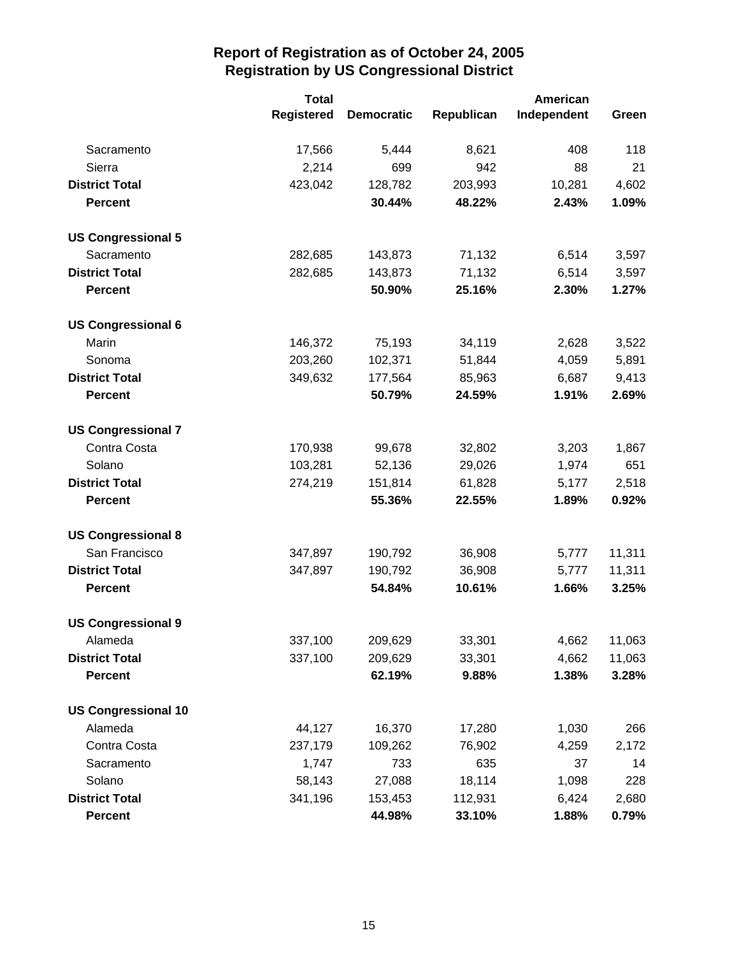|                            | <b>Total</b>      | American          |            |             |        |
|----------------------------|-------------------|-------------------|------------|-------------|--------|
|                            | <b>Registered</b> | <b>Democratic</b> | Republican | Independent | Green  |
| Sacramento                 | 17,566            | 5,444             | 8,621      | 408         | 118    |
| Sierra                     | 2,214             | 699               | 942        | 88          | 21     |
| <b>District Total</b>      | 423,042           | 128,782           | 203,993    | 10,281      | 4,602  |
| <b>Percent</b>             |                   | 30.44%            | 48.22%     | 2.43%       | 1.09%  |
| <b>US Congressional 5</b>  |                   |                   |            |             |        |
| Sacramento                 | 282,685           | 143,873           | 71,132     | 6,514       | 3,597  |
| <b>District Total</b>      | 282,685           | 143,873           | 71,132     | 6,514       | 3,597  |
| <b>Percent</b>             |                   | 50.90%            | 25.16%     | 2.30%       | 1.27%  |
| <b>US Congressional 6</b>  |                   |                   |            |             |        |
| Marin                      | 146,372           | 75,193            | 34,119     | 2,628       | 3,522  |
| Sonoma                     | 203,260           | 102,371           | 51,844     | 4,059       | 5,891  |
| <b>District Total</b>      | 349,632           | 177,564           | 85,963     | 6,687       | 9,413  |
| <b>Percent</b>             |                   | 50.79%            | 24.59%     | 1.91%       | 2.69%  |
| <b>US Congressional 7</b>  |                   |                   |            |             |        |
| Contra Costa               | 170,938           | 99,678            | 32,802     | 3,203       | 1,867  |
| Solano                     | 103,281           | 52,136            | 29,026     | 1,974       | 651    |
| <b>District Total</b>      | 274,219           | 151,814           | 61,828     | 5,177       | 2,518  |
| <b>Percent</b>             |                   | 55.36%            | 22.55%     | 1.89%       | 0.92%  |
| <b>US Congressional 8</b>  |                   |                   |            |             |        |
| San Francisco              | 347,897           | 190,792           | 36,908     | 5,777       | 11,311 |
| <b>District Total</b>      | 347,897           | 190,792           | 36,908     | 5,777       | 11,311 |
| <b>Percent</b>             |                   | 54.84%            | 10.61%     | 1.66%       | 3.25%  |
| <b>US Congressional 9</b>  |                   |                   |            |             |        |
| Alameda                    | 337,100           | 209,629           | 33,301     | 4,662       | 11,063 |
| <b>District Total</b>      | 337,100           | 209,629           | 33,301     | 4,662       | 11,063 |
| <b>Percent</b>             |                   | 62.19%            | 9.88%      | 1.38%       | 3.28%  |
| <b>US Congressional 10</b> |                   |                   |            |             |        |
| Alameda                    | 44,127            | 16,370            | 17,280     | 1,030       | 266    |
| Contra Costa               | 237,179           | 109,262           | 76,902     | 4,259       | 2,172  |
| Sacramento                 | 1,747             | 733               | 635        | 37          | 14     |
| Solano                     | 58,143            | 27,088            | 18,114     | 1,098       | 228    |
| <b>District Total</b>      | 341,196           | 153,453           | 112,931    | 6,424       | 2,680  |
| <b>Percent</b>             |                   | 44.98%            | 33.10%     | 1.88%       | 0.79%  |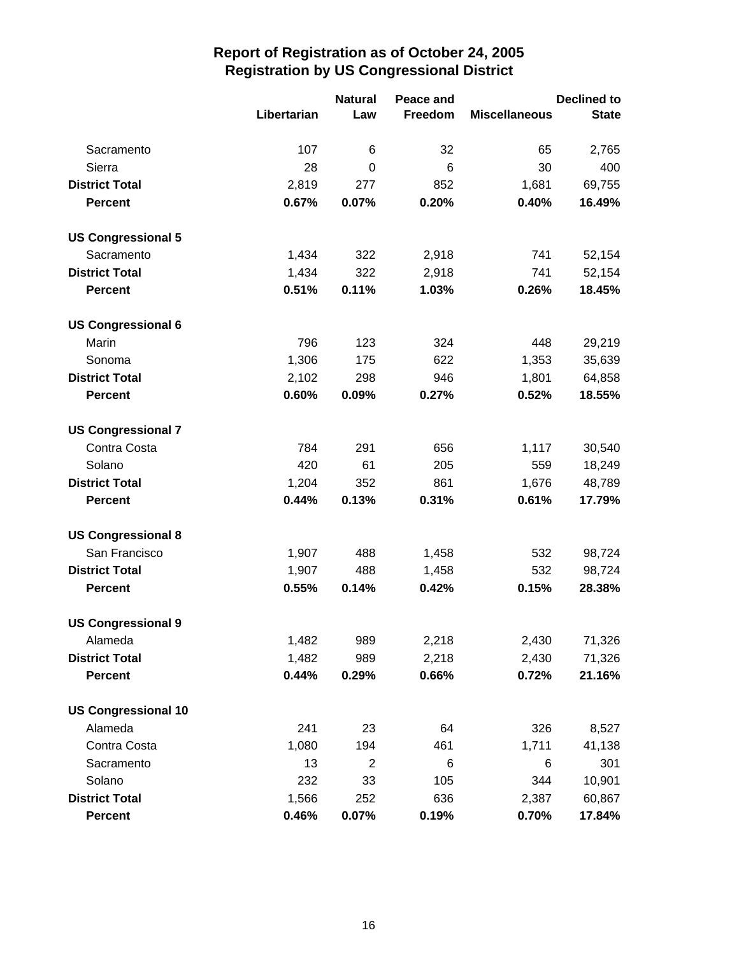|                            |             | <b>Natural</b><br>Peace and |         | <b>Declined to</b>   |              |  |
|----------------------------|-------------|-----------------------------|---------|----------------------|--------------|--|
|                            | Libertarian | Law                         | Freedom | <b>Miscellaneous</b> | <b>State</b> |  |
| Sacramento                 | 107         | 6                           | 32      | 65                   | 2,765        |  |
| Sierra                     | 28          | 0                           | 6       | 30                   | 400          |  |
| <b>District Total</b>      | 2,819       | 277                         | 852     | 1,681                | 69,755       |  |
| <b>Percent</b>             | 0.67%       | 0.07%                       | 0.20%   | 0.40%                | 16.49%       |  |
| <b>US Congressional 5</b>  |             |                             |         |                      |              |  |
| Sacramento                 | 1,434       | 322                         | 2,918   | 741                  | 52,154       |  |
| <b>District Total</b>      | 1,434       | 322                         | 2,918   | 741                  | 52,154       |  |
| <b>Percent</b>             | 0.51%       | 0.11%                       | 1.03%   | 0.26%                | 18.45%       |  |
| <b>US Congressional 6</b>  |             |                             |         |                      |              |  |
| Marin                      | 796         | 123                         | 324     | 448                  | 29,219       |  |
| Sonoma                     | 1,306       | 175                         | 622     | 1,353                | 35,639       |  |
| <b>District Total</b>      | 2,102       | 298                         | 946     | 1,801                | 64,858       |  |
| <b>Percent</b>             | 0.60%       | 0.09%                       | 0.27%   | 0.52%                | 18.55%       |  |
| <b>US Congressional 7</b>  |             |                             |         |                      |              |  |
| Contra Costa               | 784         | 291                         | 656     | 1,117                | 30,540       |  |
| Solano                     | 420         | 61                          | 205     | 559                  | 18,249       |  |
| <b>District Total</b>      | 1,204       | 352                         | 861     | 1,676                | 48,789       |  |
| <b>Percent</b>             | 0.44%       | 0.13%                       | 0.31%   | 0.61%                | 17.79%       |  |
| <b>US Congressional 8</b>  |             |                             |         |                      |              |  |
| San Francisco              | 1,907       | 488                         | 1,458   | 532                  | 98,724       |  |
| <b>District Total</b>      | 1,907       | 488                         | 1,458   | 532                  | 98,724       |  |
| <b>Percent</b>             | 0.55%       | 0.14%                       | 0.42%   | 0.15%                | 28.38%       |  |
| <b>US Congressional 9</b>  |             |                             |         |                      |              |  |
| Alameda                    | 1,482       | 989                         | 2,218   | 2,430                | 71,326       |  |
| <b>District Total</b>      | 1,482       | 989                         | 2,218   | 2,430                | 71,326       |  |
| <b>Percent</b>             | 0.44%       | 0.29%                       | 0.66%   | 0.72%                | 21.16%       |  |
| <b>US Congressional 10</b> |             |                             |         |                      |              |  |
| Alameda                    | 241         | 23                          | 64      | 326                  | 8,527        |  |
| Contra Costa               | 1,080       | 194                         | 461     | 1,711                | 41,138       |  |
| Sacramento                 | 13          | $\overline{2}$              | 6       | 6                    | 301          |  |
| Solano                     | 232         | 33                          | 105     | 344                  | 10,901       |  |
| <b>District Total</b>      | 1,566       | 252                         | 636     | 2,387                | 60,867       |  |
| <b>Percent</b>             | 0.46%       | 0.07%                       | 0.19%   | 0.70%                | 17.84%       |  |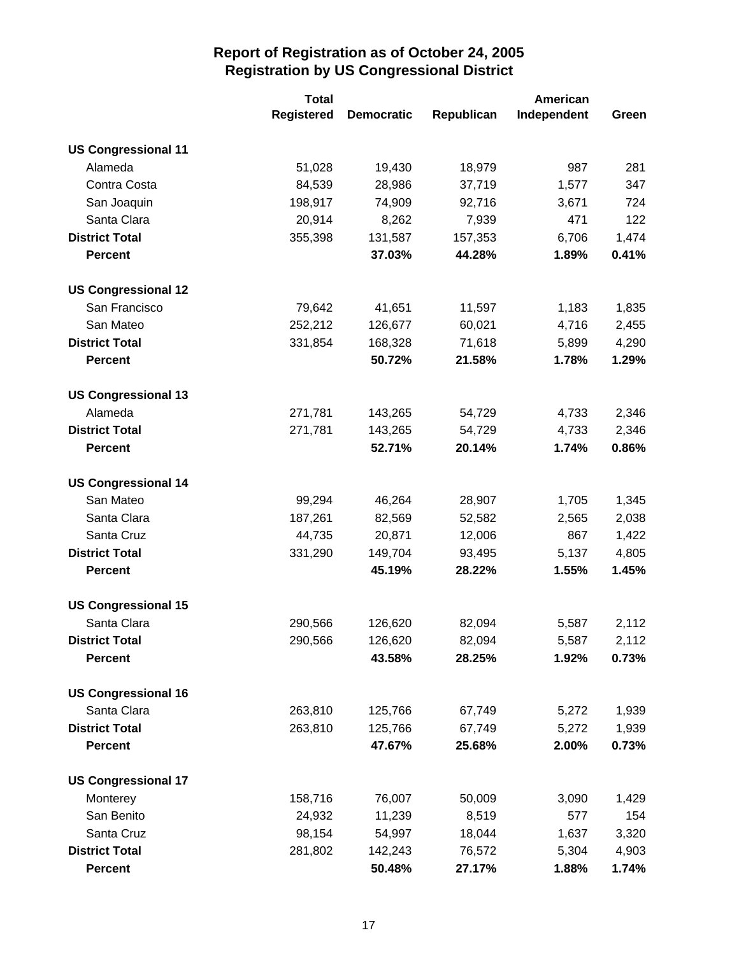|                            | <b>Total</b>      |                   | American   |             |       |
|----------------------------|-------------------|-------------------|------------|-------------|-------|
|                            | <b>Registered</b> | <b>Democratic</b> | Republican | Independent | Green |
| <b>US Congressional 11</b> |                   |                   |            |             |       |
| Alameda                    | 51,028            | 19,430            | 18,979     | 987         | 281   |
| Contra Costa               | 84,539            | 28,986            | 37,719     | 1,577       | 347   |
| San Joaquin                | 198,917           | 74,909            | 92,716     | 3,671       | 724   |
| Santa Clara                | 20,914            | 8,262             | 7,939      | 471         | 122   |
| <b>District Total</b>      | 355,398           | 131,587           | 157,353    | 6,706       | 1,474 |
| <b>Percent</b>             |                   | 37.03%            | 44.28%     | 1.89%       | 0.41% |
| <b>US Congressional 12</b> |                   |                   |            |             |       |
| San Francisco              | 79,642            | 41,651            | 11,597     | 1,183       | 1,835 |
| San Mateo                  | 252,212           | 126,677           | 60,021     | 4,716       | 2,455 |
| <b>District Total</b>      | 331,854           | 168,328           | 71,618     | 5,899       | 4,290 |
| <b>Percent</b>             |                   | 50.72%            | 21.58%     | 1.78%       | 1.29% |
| <b>US Congressional 13</b> |                   |                   |            |             |       |
| Alameda                    | 271,781           | 143,265           | 54,729     | 4,733       | 2,346 |
| <b>District Total</b>      | 271,781           | 143,265           | 54,729     | 4,733       | 2,346 |
| <b>Percent</b>             |                   | 52.71%            | 20.14%     | 1.74%       | 0.86% |
| <b>US Congressional 14</b> |                   |                   |            |             |       |
| San Mateo                  | 99,294            | 46,264            | 28,907     | 1,705       | 1,345 |
| Santa Clara                | 187,261           | 82,569            | 52,582     | 2,565       | 2,038 |
| Santa Cruz                 | 44,735            | 20,871            | 12,006     | 867         | 1,422 |
| <b>District Total</b>      | 331,290           | 149,704           | 93,495     | 5,137       | 4,805 |
| <b>Percent</b>             |                   | 45.19%            | 28.22%     | 1.55%       | 1.45% |
| <b>US Congressional 15</b> |                   |                   |            |             |       |
| Santa Clara                | 290,566           | 126,620           | 82,094     | 5,587       | 2,112 |
| <b>District Total</b>      | 290,566           | 126,620           | 82,094     | 5,587       | 2,112 |
| <b>Percent</b>             |                   | 43.58%            | 28.25%     | 1.92%       | 0.73% |
| <b>US Congressional 16</b> |                   |                   |            |             |       |
| Santa Clara                | 263,810           | 125,766           | 67,749     | 5,272       | 1,939 |
| <b>District Total</b>      | 263,810           | 125,766           | 67,749     | 5,272       | 1,939 |
| <b>Percent</b>             |                   | 47.67%            | 25.68%     | 2.00%       | 0.73% |
| <b>US Congressional 17</b> |                   |                   |            |             |       |
| Monterey                   | 158,716           | 76,007            | 50,009     | 3,090       | 1,429 |
| San Benito                 | 24,932            | 11,239            | 8,519      | 577         | 154   |
| Santa Cruz                 | 98,154            | 54,997            | 18,044     | 1,637       | 3,320 |
| <b>District Total</b>      | 281,802           | 142,243           | 76,572     | 5,304       | 4,903 |
| <b>Percent</b>             |                   | 50.48%            | 27.17%     | 1.88%       | 1.74% |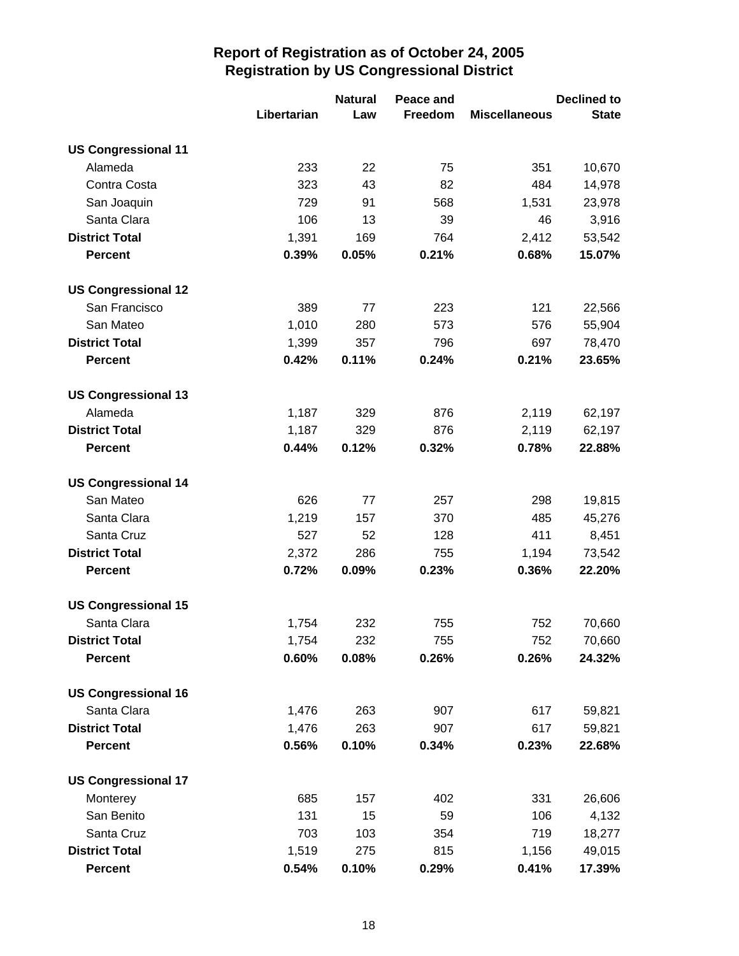|                            |             | <b>Natural</b> | Peace and |                      | <b>Declined to</b> |
|----------------------------|-------------|----------------|-----------|----------------------|--------------------|
|                            | Libertarian | Law            | Freedom   | <b>Miscellaneous</b> | <b>State</b>       |
| <b>US Congressional 11</b> |             |                |           |                      |                    |
| Alameda                    | 233         | 22             | 75        | 351                  | 10,670             |
| Contra Costa               | 323         | 43             | 82        | 484                  | 14,978             |
| San Joaquin                | 729         | 91             | 568       | 1,531                | 23,978             |
| Santa Clara                | 106         | 13             | 39        | 46                   | 3,916              |
| <b>District Total</b>      | 1,391       | 169            | 764       | 2,412                | 53,542             |
| <b>Percent</b>             | 0.39%       | 0.05%          | 0.21%     | 0.68%                | 15.07%             |
| <b>US Congressional 12</b> |             |                |           |                      |                    |
| San Francisco              | 389         | 77             | 223       | 121                  | 22,566             |
| San Mateo                  | 1,010       | 280            | 573       | 576                  | 55,904             |
| <b>District Total</b>      | 1,399       | 357            | 796       | 697                  | 78,470             |
| <b>Percent</b>             | 0.42%       | 0.11%          | 0.24%     | 0.21%                | 23.65%             |
| <b>US Congressional 13</b> |             |                |           |                      |                    |
| Alameda                    | 1,187       | 329            | 876       | 2,119                | 62,197             |
| <b>District Total</b>      | 1,187       | 329            | 876       | 2,119                | 62,197             |
| <b>Percent</b>             | 0.44%       | 0.12%          | 0.32%     | 0.78%                | 22.88%             |
| <b>US Congressional 14</b> |             |                |           |                      |                    |
| San Mateo                  | 626         | 77             | 257       | 298                  | 19,815             |
| Santa Clara                | 1,219       | 157            | 370       | 485                  | 45,276             |
| Santa Cruz                 | 527         | 52             | 128       | 411                  | 8,451              |
| <b>District Total</b>      | 2,372       | 286            | 755       | 1,194                | 73,542             |
| <b>Percent</b>             | 0.72%       | 0.09%          | 0.23%     | 0.36%                | 22.20%             |
| <b>US Congressional 15</b> |             |                |           |                      |                    |
| Santa Clara                | 1,754       | 232            | 755       | 752                  | 70,660             |
| <b>District Total</b>      | 1,754       | 232            | 755       | 752                  | 70,660             |
| <b>Percent</b>             | 0.60%       | 0.08%          | 0.26%     | 0.26%                | 24.32%             |
| <b>US Congressional 16</b> |             |                |           |                      |                    |
| Santa Clara                | 1,476       | 263            | 907       | 617                  | 59,821             |
| <b>District Total</b>      | 1,476       | 263            | 907       | 617                  | 59,821             |
| <b>Percent</b>             | 0.56%       | 0.10%          | 0.34%     | 0.23%                | 22.68%             |
| <b>US Congressional 17</b> |             |                |           |                      |                    |
| Monterey                   | 685         | 157            | 402       | 331                  | 26,606             |
| San Benito                 | 131         | 15             | 59        | 106                  | 4,132              |
| Santa Cruz                 | 703         | 103            | 354       | 719                  | 18,277             |
| <b>District Total</b>      | 1,519       | 275            | 815       | 1,156                | 49,015             |
| <b>Percent</b>             | 0.54%       | 0.10%          | 0.29%     | 0.41%                | 17.39%             |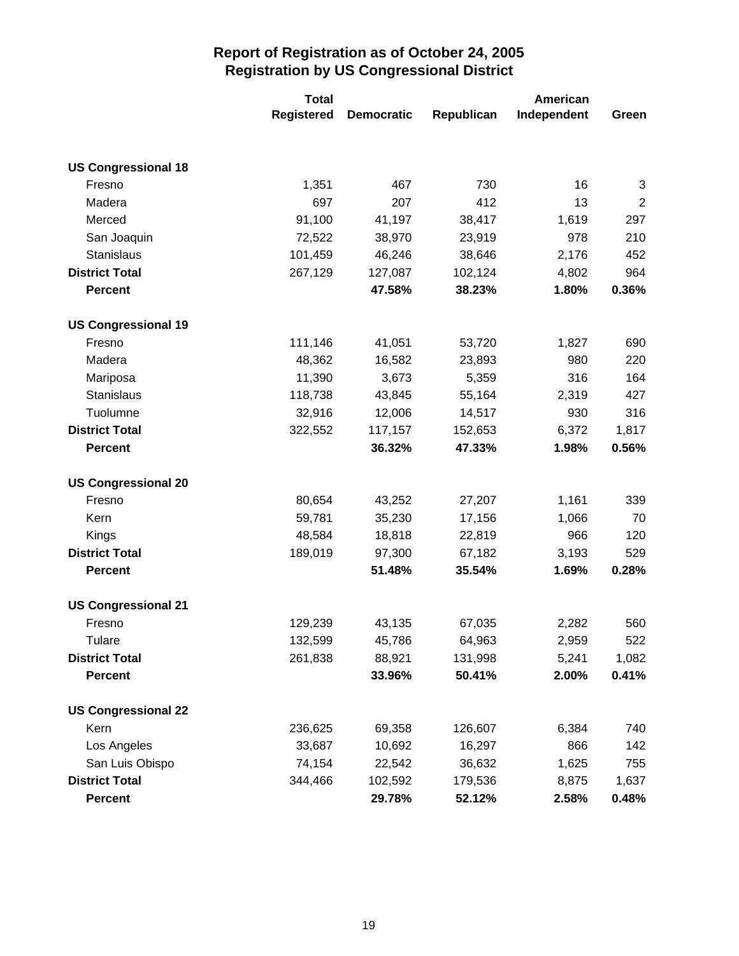|                            | <b>Total</b>      | American          |            |             |                |
|----------------------------|-------------------|-------------------|------------|-------------|----------------|
|                            | <b>Registered</b> | <b>Democratic</b> | Republican | Independent | Green          |
|                            |                   |                   |            |             |                |
| <b>US Congressional 18</b> |                   |                   |            |             |                |
| Fresno                     | 1,351             | 467               | 730        | 16          | 3              |
| Madera                     | 697               | 207               | 412        | 13          | $\overline{2}$ |
| Merced                     | 91,100            | 41,197            | 38,417     | 1,619       | 297            |
| San Joaquin                | 72,522            | 38,970            | 23,919     | 978         | 210            |
| Stanislaus                 | 101,459           | 46,246            | 38,646     | 2,176       | 452            |
| <b>District Total</b>      | 267,129           | 127,087           | 102,124    | 4,802       | 964            |
| <b>Percent</b>             |                   | 47.58%            | 38.23%     | 1.80%       | 0.36%          |
| <b>US Congressional 19</b> |                   |                   |            |             |                |
| Fresno                     | 111,146           | 41,051            | 53,720     | 1,827       | 690            |
| Madera                     | 48,362            | 16,582            | 23,893     | 980         | 220            |
| Mariposa                   | 11,390            | 3,673             | 5,359      | 316         | 164            |
| Stanislaus                 | 118,738           | 43,845            | 55,164     | 2,319       | 427            |
| Tuolumne                   | 32,916            | 12,006            | 14,517     | 930         | 316            |
| <b>District Total</b>      | 322,552           | 117,157           | 152,653    | 6,372       | 1,817          |
| <b>Percent</b>             |                   | 36.32%            | 47.33%     | 1.98%       | 0.56%          |
| <b>US Congressional 20</b> |                   |                   |            |             |                |
| Fresno                     | 80,654            | 43,252            | 27,207     | 1,161       | 339            |
| Kern                       | 59,781            | 35,230            | 17,156     | 1,066       | 70             |
| Kings                      | 48,584            | 18,818            | 22,819     | 966         | 120            |
| <b>District Total</b>      | 189,019           | 97,300            | 67,182     | 3,193       | 529            |
| <b>Percent</b>             |                   | 51.48%            | 35.54%     | 1.69%       | 0.28%          |
| <b>US Congressional 21</b> |                   |                   |            |             |                |
| Fresno                     | 129,239           | 43,135            | 67,035     | 2,282       | 560            |
| Tulare                     | 132,599           | 45,786            | 64,963     | 2,959       | 522            |
| <b>District Total</b>      | 261,838           | 88,921            | 131,998    | 5,241       | 1,082          |
| <b>Percent</b>             |                   | 33.96%            | 50.41%     | 2.00%       | 0.41%          |
| <b>US Congressional 22</b> |                   |                   |            |             |                |
| Kern                       | 236,625           | 69,358            | 126,607    | 6,384       | 740            |
| Los Angeles                | 33,687            | 10,692            | 16,297     | 866         | 142            |
| San Luis Obispo            | 74,154            | 22,542            | 36,632     | 1,625       | 755            |
| <b>District Total</b>      | 344,466           | 102,592           | 179,536    | 8,875       | 1,637          |
| <b>Percent</b>             |                   | 29.78%            | 52.12%     | 2.58%       | 0.48%          |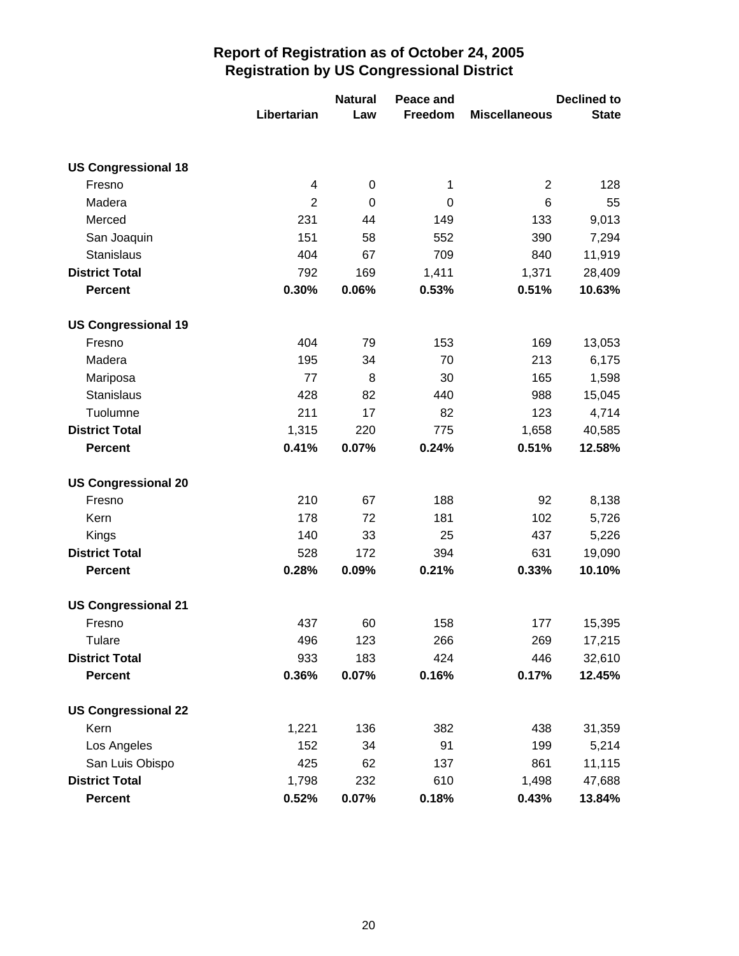|                            |                     | <b>Natural</b>   | Peace and |                      | <b>Declined to</b> |
|----------------------------|---------------------|------------------|-----------|----------------------|--------------------|
|                            | Libertarian         | Law              | Freedom   | <b>Miscellaneous</b> | <b>State</b>       |
|                            |                     |                  |           |                      |                    |
| <b>US Congressional 18</b> |                     |                  |           |                      |                    |
| Fresno                     | 4<br>$\overline{2}$ | $\boldsymbol{0}$ | 1         | $\mathbf 2$<br>6     | 128                |
| Madera                     | 231                 | 0                | 0         | 133                  | 55                 |
| Merced                     | 151                 | 44<br>58         | 149       | 390                  | 9,013<br>7,294     |
| San Joaquin                |                     |                  | 552       |                      |                    |
| <b>Stanislaus</b>          | 404                 | 67               | 709       | 840                  | 11,919             |
| <b>District Total</b>      | 792                 | 169              | 1,411     | 1,371                | 28,409             |
| <b>Percent</b>             | 0.30%               | 0.06%            | 0.53%     | 0.51%                | 10.63%             |
| <b>US Congressional 19</b> |                     |                  |           |                      |                    |
| Fresno                     | 404                 | 79               | 153       | 169                  | 13,053             |
| Madera                     | 195                 | 34               | 70        | 213                  | 6,175              |
| Mariposa                   | 77                  | 8                | 30        | 165                  | 1,598              |
| <b>Stanislaus</b>          | 428                 | 82               | 440       | 988                  | 15,045             |
| Tuolumne                   | 211                 | 17               | 82        | 123                  | 4,714              |
| <b>District Total</b>      | 1,315               | 220              | 775       | 1,658                | 40,585             |
| <b>Percent</b>             | 0.41%               | 0.07%            | 0.24%     | 0.51%                | 12.58%             |
| <b>US Congressional 20</b> |                     |                  |           |                      |                    |
| Fresno                     | 210                 | 67               | 188       | 92                   | 8,138              |
| Kern                       | 178                 | 72               | 181       | 102                  | 5,726              |
| Kings                      | 140                 | 33               | 25        | 437                  | 5,226              |
| <b>District Total</b>      | 528                 | 172              | 394       | 631                  | 19,090             |
| <b>Percent</b>             | 0.28%               | 0.09%            | 0.21%     | 0.33%                | 10.10%             |
| <b>US Congressional 21</b> |                     |                  |           |                      |                    |
| Fresno                     | 437                 | 60               | 158       | 177                  | 15,395             |
| Tulare                     | 496                 | 123              | 266       | 269                  | 17,215             |
| <b>District Total</b>      | 933                 | 183              | 424       | 446                  | 32,610             |
| <b>Percent</b>             | 0.36%               | 0.07%            | 0.16%     | 0.17%                | 12.45%             |
| <b>US Congressional 22</b> |                     |                  |           |                      |                    |
| Kern                       | 1,221               | 136              | 382       | 438                  | 31,359             |
| Los Angeles                | 152                 | 34               | 91        | 199                  | 5,214              |
| San Luis Obispo            | 425                 | 62               | 137       | 861                  | 11,115             |
| <b>District Total</b>      | 1,798               | 232              | 610       | 1,498                | 47,688             |
| <b>Percent</b>             | 0.52%               | 0.07%            | 0.18%     | 0.43%                | 13.84%             |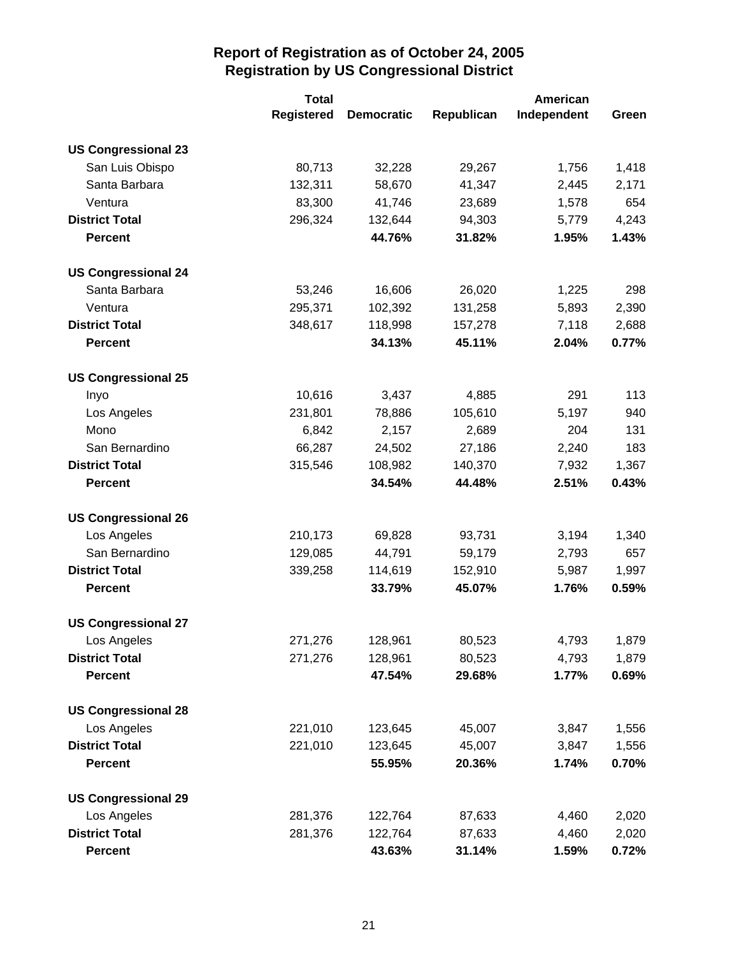|                            | <b>Total</b>      |                   | American   |             |       |
|----------------------------|-------------------|-------------------|------------|-------------|-------|
|                            | <b>Registered</b> | <b>Democratic</b> | Republican | Independent | Green |
| <b>US Congressional 23</b> |                   |                   |            |             |       |
| San Luis Obispo            | 80,713            | 32,228            | 29,267     | 1,756       | 1,418 |
| Santa Barbara              | 132,311           | 58,670            | 41,347     | 2,445       | 2,171 |
| Ventura                    | 83,300            | 41,746            | 23,689     | 1,578       | 654   |
| <b>District Total</b>      | 296,324           | 132,644           | 94,303     | 5,779       | 4,243 |
| <b>Percent</b>             |                   | 44.76%            | 31.82%     | 1.95%       | 1.43% |
| <b>US Congressional 24</b> |                   |                   |            |             |       |
| Santa Barbara              | 53,246            | 16,606            | 26,020     | 1,225       | 298   |
| Ventura                    | 295,371           | 102,392           | 131,258    | 5,893       | 2,390 |
| <b>District Total</b>      | 348,617           | 118,998           | 157,278    | 7,118       | 2,688 |
| <b>Percent</b>             |                   | 34.13%            | 45.11%     | 2.04%       | 0.77% |
| <b>US Congressional 25</b> |                   |                   |            |             |       |
| Inyo                       | 10,616            | 3,437             | 4,885      | 291         | 113   |
| Los Angeles                | 231,801           | 78,886            | 105,610    | 5,197       | 940   |
| Mono                       | 6,842             | 2,157             | 2,689      | 204         | 131   |
| San Bernardino             | 66,287            | 24,502            | 27,186     | 2,240       | 183   |
| <b>District Total</b>      | 315,546           | 108,982           | 140,370    | 7,932       | 1,367 |
| <b>Percent</b>             |                   | 34.54%            | 44.48%     | 2.51%       | 0.43% |
| <b>US Congressional 26</b> |                   |                   |            |             |       |
| Los Angeles                | 210,173           | 69,828            | 93,731     | 3,194       | 1,340 |
| San Bernardino             | 129,085           | 44,791            | 59,179     | 2,793       | 657   |
| <b>District Total</b>      | 339,258           | 114,619           | 152,910    | 5,987       | 1,997 |
| <b>Percent</b>             |                   | 33.79%            | 45.07%     | 1.76%       | 0.59% |
| <b>US Congressional 27</b> |                   |                   |            |             |       |
| Los Angeles                | 271,276           | 128,961           | 80,523     | 4,793       | 1,879 |
| <b>District Total</b>      | 271,276           | 128,961           | 80,523     | 4,793       | 1,879 |
| <b>Percent</b>             |                   | 47.54%            | 29.68%     | 1.77%       | 0.69% |
| <b>US Congressional 28</b> |                   |                   |            |             |       |
| Los Angeles                | 221,010           | 123,645           | 45,007     | 3,847       | 1,556 |
| <b>District Total</b>      | 221,010           | 123,645           | 45,007     | 3,847       | 1,556 |
| <b>Percent</b>             |                   | 55.95%            | 20.36%     | 1.74%       | 0.70% |
| <b>US Congressional 29</b> |                   |                   |            |             |       |
| Los Angeles                | 281,376           | 122,764           | 87,633     | 4,460       | 2,020 |
| <b>District Total</b>      | 281,376           | 122,764           | 87,633     | 4,460       | 2,020 |
| <b>Percent</b>             |                   | 43.63%            | 31.14%     | 1.59%       | 0.72% |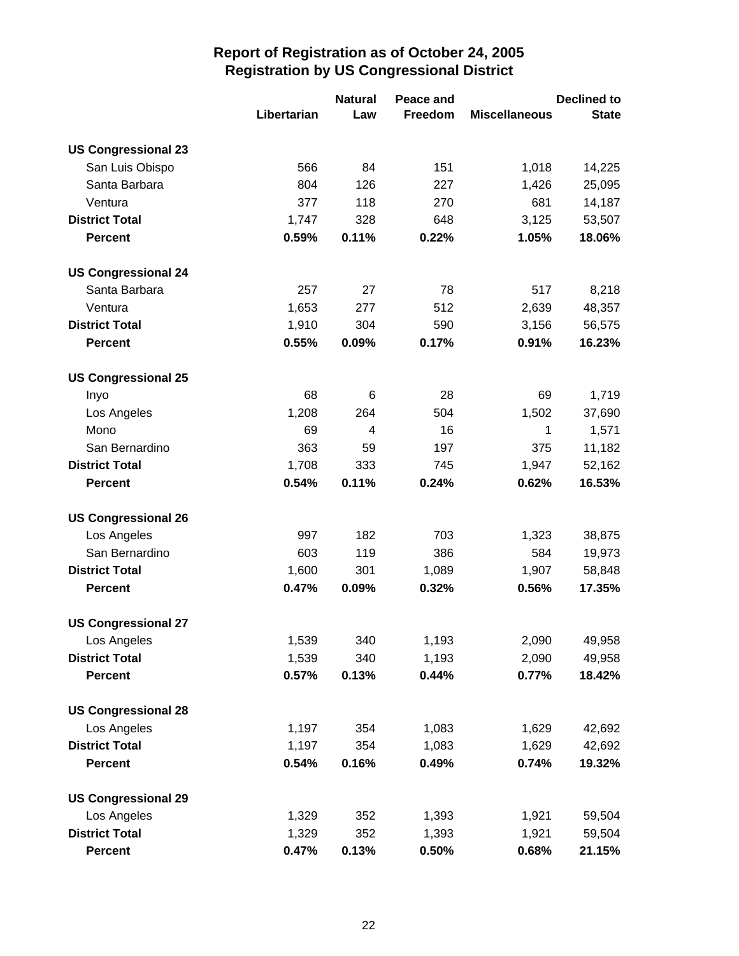|                            |             | <b>Natural</b><br>Peace and | <b>Declined to</b> |                      |              |
|----------------------------|-------------|-----------------------------|--------------------|----------------------|--------------|
|                            | Libertarian | Law                         | Freedom            | <b>Miscellaneous</b> | <b>State</b> |
| <b>US Congressional 23</b> |             |                             |                    |                      |              |
| San Luis Obispo            | 566         | 84                          | 151                | 1,018                | 14,225       |
| Santa Barbara              | 804         | 126                         | 227                | 1,426                | 25,095       |
| Ventura                    | 377         | 118                         | 270                | 681                  | 14,187       |
| <b>District Total</b>      | 1,747       | 328                         | 648                | 3,125                | 53,507       |
| <b>Percent</b>             | 0.59%       | 0.11%                       | 0.22%              | 1.05%                | 18.06%       |
| <b>US Congressional 24</b> |             |                             |                    |                      |              |
| Santa Barbara              | 257         | 27                          | 78                 | 517                  | 8,218        |
| Ventura                    | 1,653       | 277                         | 512                | 2,639                | 48,357       |
| <b>District Total</b>      | 1,910       | 304                         | 590                | 3,156                | 56,575       |
| <b>Percent</b>             | 0.55%       | 0.09%                       | 0.17%              | 0.91%                | 16.23%       |
| <b>US Congressional 25</b> |             |                             |                    |                      |              |
| Inyo                       | 68          | 6                           | 28                 | 69                   | 1,719        |
| Los Angeles                | 1,208       | 264                         | 504                | 1,502                | 37,690       |
| Mono                       | 69          | 4                           | 16                 | 1                    | 1,571        |
| San Bernardino             | 363         | 59                          | 197                | 375                  | 11,182       |
| <b>District Total</b>      | 1,708       | 333                         | 745                | 1,947                | 52,162       |
| <b>Percent</b>             | 0.54%       | 0.11%                       | 0.24%              | 0.62%                | 16.53%       |
| <b>US Congressional 26</b> |             |                             |                    |                      |              |
| Los Angeles                | 997         | 182                         | 703                | 1,323                | 38,875       |
| San Bernardino             | 603         | 119                         | 386                | 584                  | 19,973       |
| <b>District Total</b>      | 1,600       | 301                         | 1,089              | 1,907                | 58,848       |
| <b>Percent</b>             | 0.47%       | 0.09%                       | 0.32%              | 0.56%                | 17.35%       |
| <b>US Congressional 27</b> |             |                             |                    |                      |              |
| Los Angeles                | 1,539       | 340                         | 1,193              | 2,090                | 49,958       |
| <b>District Total</b>      | 1,539       | 340                         | 1,193              | 2,090                | 49,958       |
| <b>Percent</b>             | 0.57%       | 0.13%                       | 0.44%              | 0.77%                | 18.42%       |
| <b>US Congressional 28</b> |             |                             |                    |                      |              |
| Los Angeles                | 1,197       | 354                         | 1,083              | 1,629                | 42,692       |
| <b>District Total</b>      | 1,197       | 354                         | 1,083              | 1,629                | 42,692       |
| <b>Percent</b>             | 0.54%       | 0.16%                       | 0.49%              | 0.74%                | 19.32%       |
| <b>US Congressional 29</b> |             |                             |                    |                      |              |
| Los Angeles                | 1,329       | 352                         | 1,393              | 1,921                | 59,504       |
| <b>District Total</b>      | 1,329       | 352                         | 1,393              | 1,921                | 59,504       |
| <b>Percent</b>             | 0.47%       | 0.13%                       | 0.50%              | 0.68%                | 21.15%       |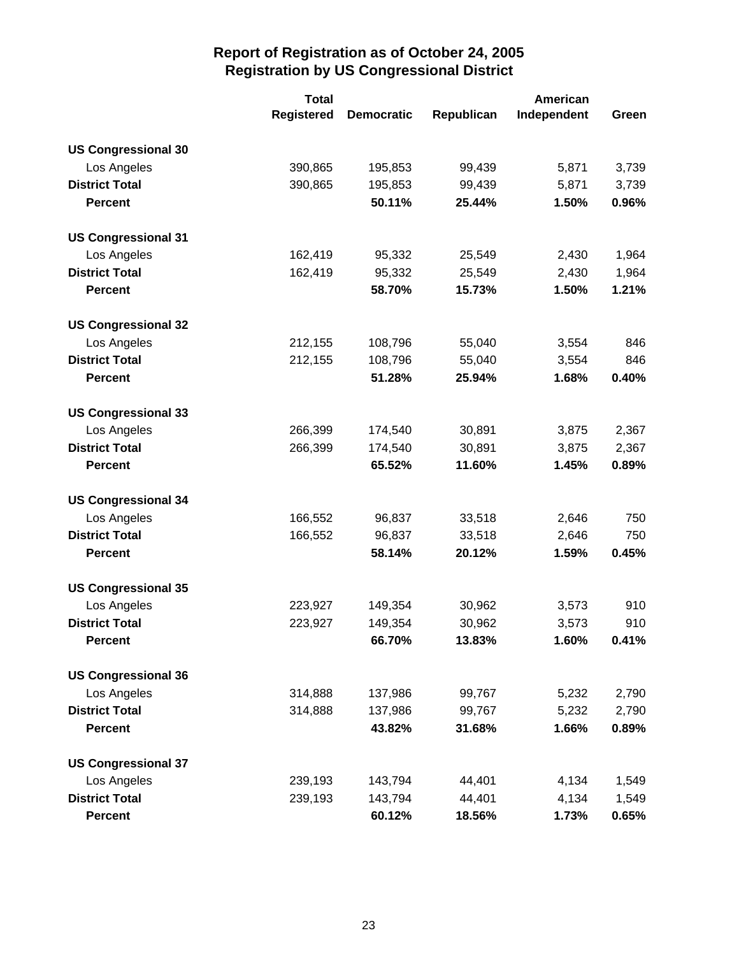|                            | <b>Total</b>      | American          |            |             |       |
|----------------------------|-------------------|-------------------|------------|-------------|-------|
|                            | <b>Registered</b> | <b>Democratic</b> | Republican | Independent | Green |
| <b>US Congressional 30</b> |                   |                   |            |             |       |
| Los Angeles                | 390,865           | 195,853           | 99,439     | 5,871       | 3,739 |
| <b>District Total</b>      | 390,865           | 195,853           | 99,439     | 5,871       | 3,739 |
| <b>Percent</b>             |                   | 50.11%            | 25.44%     | 1.50%       | 0.96% |
| <b>US Congressional 31</b> |                   |                   |            |             |       |
| Los Angeles                | 162,419           | 95,332            | 25,549     | 2,430       | 1,964 |
| <b>District Total</b>      | 162,419           | 95,332            | 25,549     | 2,430       | 1,964 |
| <b>Percent</b>             |                   | 58.70%            | 15.73%     | 1.50%       | 1.21% |
| <b>US Congressional 32</b> |                   |                   |            |             |       |
| Los Angeles                | 212,155           | 108,796           | 55,040     | 3,554       | 846   |
| <b>District Total</b>      | 212,155           | 108,796           | 55,040     | 3,554       | 846   |
| <b>Percent</b>             |                   | 51.28%            | 25.94%     | 1.68%       | 0.40% |
| <b>US Congressional 33</b> |                   |                   |            |             |       |
| Los Angeles                | 266,399           | 174,540           | 30,891     | 3,875       | 2,367 |
| <b>District Total</b>      | 266,399           | 174,540           | 30,891     | 3,875       | 2,367 |
| <b>Percent</b>             |                   | 65.52%            | 11.60%     | 1.45%       | 0.89% |
| <b>US Congressional 34</b> |                   |                   |            |             |       |
| Los Angeles                | 166,552           | 96,837            | 33,518     | 2,646       | 750   |
| <b>District Total</b>      | 166,552           | 96,837            | 33,518     | 2,646       | 750   |
| <b>Percent</b>             |                   | 58.14%            | 20.12%     | 1.59%       | 0.45% |
| <b>US Congressional 35</b> |                   |                   |            |             |       |
| Los Angeles                | 223,927           | 149,354           | 30,962     | 3,573       | 910   |
| <b>District Total</b>      | 223,927           | 149,354           | 30,962     | 3,573       | 910   |
| <b>Percent</b>             |                   | 66.70%            | 13.83%     | 1.60%       | 0.41% |
| <b>US Congressional 36</b> |                   |                   |            |             |       |
| Los Angeles                | 314,888           | 137,986           | 99,767     | 5,232       | 2,790 |
| <b>District Total</b>      | 314,888           | 137,986           | 99,767     | 5,232       | 2,790 |
| <b>Percent</b>             |                   | 43.82%            | 31.68%     | 1.66%       | 0.89% |
| <b>US Congressional 37</b> |                   |                   |            |             |       |
| Los Angeles                | 239,193           | 143,794           | 44,401     | 4,134       | 1,549 |
| <b>District Total</b>      | 239,193           | 143,794           | 44,401     | 4,134       | 1,549 |
| <b>Percent</b>             |                   | 60.12%            | 18.56%     | 1.73%       | 0.65% |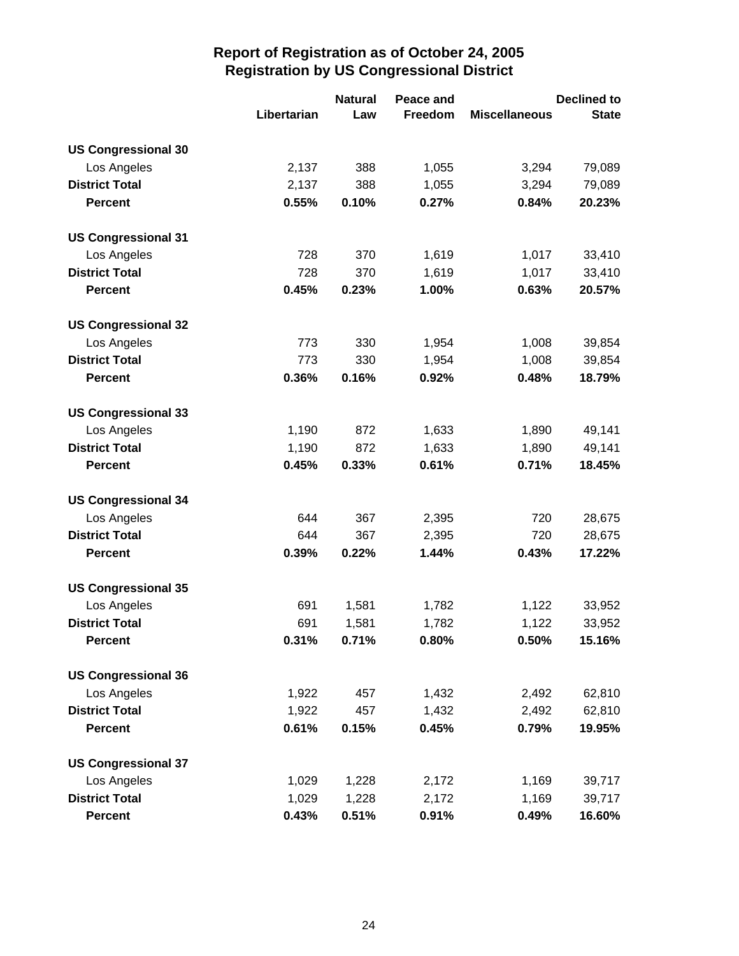|                            |             | <b>Natural</b> | Peace and | <b>Declined to</b>   |              |  |
|----------------------------|-------------|----------------|-----------|----------------------|--------------|--|
|                            | Libertarian | Law            | Freedom   | <b>Miscellaneous</b> | <b>State</b> |  |
| <b>US Congressional 30</b> |             |                |           |                      |              |  |
| Los Angeles                | 2,137       | 388            | 1,055     | 3,294                | 79,089       |  |
| <b>District Total</b>      | 2,137       | 388            | 1,055     | 3,294                | 79,089       |  |
| <b>Percent</b>             | 0.55%       | 0.10%          | 0.27%     | 0.84%                | 20.23%       |  |
| <b>US Congressional 31</b> |             |                |           |                      |              |  |
| Los Angeles                | 728         | 370            | 1,619     | 1,017                | 33,410       |  |
| <b>District Total</b>      | 728         | 370            | 1,619     | 1,017                | 33,410       |  |
| <b>Percent</b>             | 0.45%       | 0.23%          | 1.00%     | 0.63%                | 20.57%       |  |
| <b>US Congressional 32</b> |             |                |           |                      |              |  |
| Los Angeles                | 773         | 330            | 1,954     | 1,008                | 39,854       |  |
| <b>District Total</b>      | 773         | 330            | 1,954     | 1,008                | 39,854       |  |
| <b>Percent</b>             | 0.36%       | 0.16%          | 0.92%     | 0.48%                | 18.79%       |  |
| <b>US Congressional 33</b> |             |                |           |                      |              |  |
| Los Angeles                | 1,190       | 872            | 1,633     | 1,890                | 49,141       |  |
| <b>District Total</b>      | 1,190       | 872            | 1,633     | 1,890                | 49,141       |  |
| <b>Percent</b>             | 0.45%       | 0.33%          | 0.61%     | 0.71%                | 18.45%       |  |
| <b>US Congressional 34</b> |             |                |           |                      |              |  |
| Los Angeles                | 644         | 367            | 2,395     | 720                  | 28,675       |  |
| <b>District Total</b>      | 644         | 367            | 2,395     | 720                  | 28,675       |  |
| <b>Percent</b>             | 0.39%       | 0.22%          | 1.44%     | 0.43%                | 17.22%       |  |
| <b>US Congressional 35</b> |             |                |           |                      |              |  |
| Los Angeles                | 691         | 1,581          | 1,782     | 1,122                | 33,952       |  |
| <b>District Total</b>      | 691         | 1,581          | 1,782     | 1,122                | 33,952       |  |
| Percent                    | 0.31%       | 0.71%          | 0.80%     | 0.50%                | 15.16%       |  |
| <b>US Congressional 36</b> |             |                |           |                      |              |  |
| Los Angeles                | 1,922       | 457            | 1,432     | 2,492                | 62,810       |  |
| <b>District Total</b>      | 1,922       | 457            | 1,432     | 2,492                | 62,810       |  |
| <b>Percent</b>             | 0.61%       | 0.15%          | 0.45%     | 0.79%                | 19.95%       |  |
| <b>US Congressional 37</b> |             |                |           |                      |              |  |
| Los Angeles                | 1,029       | 1,228          | 2,172     | 1,169                | 39,717       |  |
| <b>District Total</b>      | 1,029       | 1,228          | 2,172     | 1,169                | 39,717       |  |
| <b>Percent</b>             | 0.43%       | 0.51%          | 0.91%     | 0.49%                | 16.60%       |  |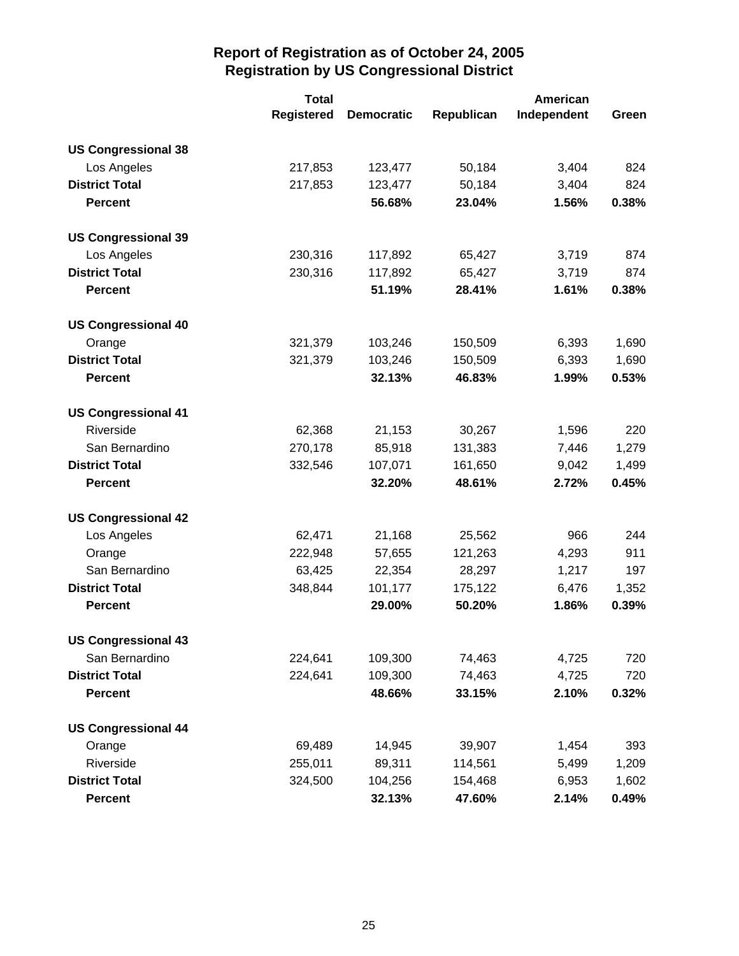|                            | <b>Total</b>      |                   | American   |             |       |
|----------------------------|-------------------|-------------------|------------|-------------|-------|
|                            | <b>Registered</b> | <b>Democratic</b> | Republican | Independent | Green |
| <b>US Congressional 38</b> |                   |                   |            |             |       |
| Los Angeles                | 217,853           | 123,477           | 50,184     | 3,404       | 824   |
| <b>District Total</b>      | 217,853           | 123,477           | 50,184     | 3,404       | 824   |
| <b>Percent</b>             |                   | 56.68%            | 23.04%     | 1.56%       | 0.38% |
| <b>US Congressional 39</b> |                   |                   |            |             |       |
| Los Angeles                | 230,316           | 117,892           | 65,427     | 3,719       | 874   |
| <b>District Total</b>      | 230,316           | 117,892           | 65,427     | 3,719       | 874   |
| <b>Percent</b>             |                   | 51.19%            | 28.41%     | 1.61%       | 0.38% |
| <b>US Congressional 40</b> |                   |                   |            |             |       |
| Orange                     | 321,379           | 103,246           | 150,509    | 6,393       | 1,690 |
| <b>District Total</b>      | 321,379           | 103,246           | 150,509    | 6,393       | 1,690 |
| <b>Percent</b>             |                   | 32.13%            | 46.83%     | 1.99%       | 0.53% |
| <b>US Congressional 41</b> |                   |                   |            |             |       |
| Riverside                  | 62,368            | 21,153            | 30,267     | 1,596       | 220   |
| San Bernardino             | 270,178           | 85,918            | 131,383    | 7,446       | 1,279 |
| <b>District Total</b>      | 332,546           | 107,071           | 161,650    | 9,042       | 1,499 |
| <b>Percent</b>             |                   | 32.20%            | 48.61%     | 2.72%       | 0.45% |
| <b>US Congressional 42</b> |                   |                   |            |             |       |
| Los Angeles                | 62,471            | 21,168            | 25,562     | 966         | 244   |
| Orange                     | 222,948           | 57,655            | 121,263    | 4,293       | 911   |
| San Bernardino             | 63,425            | 22,354            | 28,297     | 1,217       | 197   |
| <b>District Total</b>      | 348,844           | 101,177           | 175,122    | 6,476       | 1,352 |
| <b>Percent</b>             |                   | 29.00%            | 50.20%     | 1.86%       | 0.39% |
| <b>US Congressional 43</b> |                   |                   |            |             |       |
| San Bernardino             | 224,641           | 109,300           | 74,463     | 4,725       | 720   |
| <b>District Total</b>      | 224,641           | 109,300           | 74,463     | 4,725       | 720   |
| <b>Percent</b>             |                   | 48.66%            | 33.15%     | 2.10%       | 0.32% |
| <b>US Congressional 44</b> |                   |                   |            |             |       |
| Orange                     | 69,489            | 14,945            | 39,907     | 1,454       | 393   |
| Riverside                  | 255,011           | 89,311            | 114,561    | 5,499       | 1,209 |
| <b>District Total</b>      | 324,500           | 104,256           | 154,468    | 6,953       | 1,602 |
| <b>Percent</b>             |                   | 32.13%            | 47.60%     | 2.14%       | 0.49% |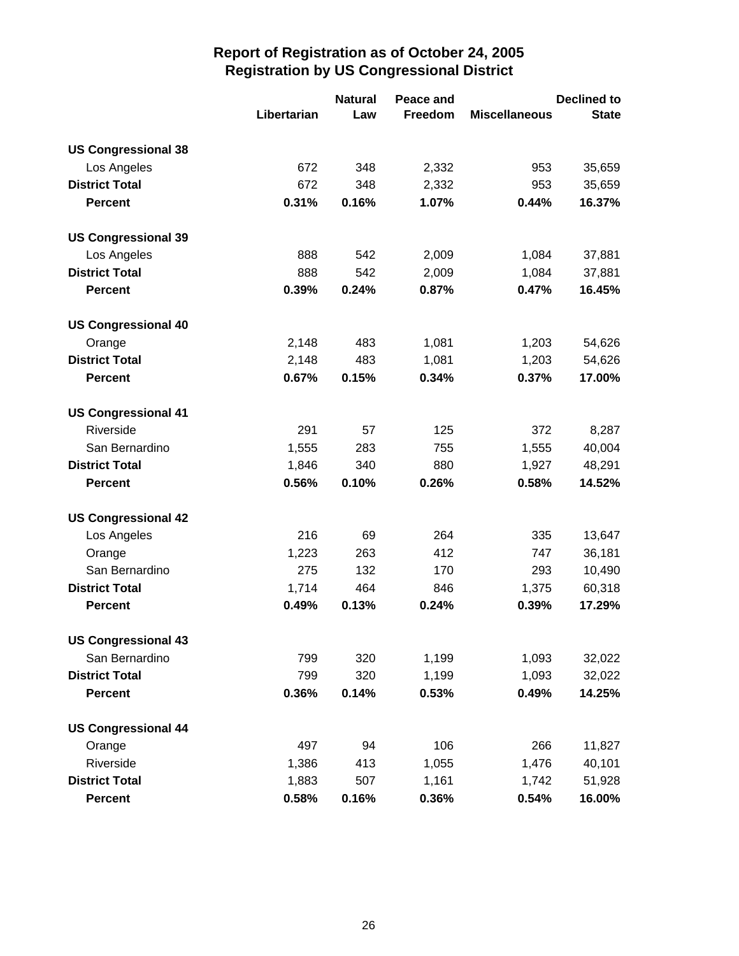|                            |             | <b>Natural</b> | Peace and |                      | <b>Declined to</b> |
|----------------------------|-------------|----------------|-----------|----------------------|--------------------|
|                            | Libertarian | Law            | Freedom   | <b>Miscellaneous</b> | <b>State</b>       |
| <b>US Congressional 38</b> |             |                |           |                      |                    |
| Los Angeles                | 672         | 348            | 2,332     | 953                  | 35,659             |
| <b>District Total</b>      | 672         | 348            | 2,332     | 953                  | 35,659             |
| <b>Percent</b>             | 0.31%       | 0.16%          | 1.07%     | 0.44%                | 16.37%             |
| <b>US Congressional 39</b> |             |                |           |                      |                    |
| Los Angeles                | 888         | 542            | 2,009     | 1,084                | 37,881             |
| <b>District Total</b>      | 888         | 542            | 2,009     | 1,084                | 37,881             |
| <b>Percent</b>             | 0.39%       | 0.24%          | 0.87%     | 0.47%                | 16.45%             |
| <b>US Congressional 40</b> |             |                |           |                      |                    |
| Orange                     | 2,148       | 483            | 1,081     | 1,203                | 54,626             |
| <b>District Total</b>      | 2,148       | 483            | 1,081     | 1,203                | 54,626             |
| <b>Percent</b>             | 0.67%       | 0.15%          | 0.34%     | 0.37%                | 17.00%             |
| <b>US Congressional 41</b> |             |                |           |                      |                    |
| Riverside                  | 291         | 57             | 125       | 372                  | 8,287              |
| San Bernardino             | 1,555       | 283            | 755       | 1,555                | 40,004             |
| <b>District Total</b>      | 1,846       | 340            | 880       | 1,927                | 48,291             |
| <b>Percent</b>             | 0.56%       | 0.10%          | 0.26%     | 0.58%                | 14.52%             |
| <b>US Congressional 42</b> |             |                |           |                      |                    |
| Los Angeles                | 216         | 69             | 264       | 335                  | 13,647             |
| Orange                     | 1,223       | 263            | 412       | 747                  | 36,181             |
| San Bernardino             | 275         | 132            | 170       | 293                  | 10,490             |
| <b>District Total</b>      | 1,714       | 464            | 846       | 1,375                | 60,318             |
| <b>Percent</b>             | 0.49%       | 0.13%          | 0.24%     | 0.39%                | 17.29%             |
| <b>US Congressional 43</b> |             |                |           |                      |                    |
| San Bernardino             | 799         | 320            | 1,199     | 1,093                | 32,022             |
| <b>District Total</b>      | 799         | 320            | 1,199     | 1,093                | 32,022             |
| <b>Percent</b>             | 0.36%       | 0.14%          | 0.53%     | 0.49%                | 14.25%             |
| <b>US Congressional 44</b> |             |                |           |                      |                    |
| Orange                     | 497         | 94             | 106       | 266                  | 11,827             |
| Riverside                  | 1,386       | 413            | 1,055     | 1,476                | 40,101             |
| <b>District Total</b>      | 1,883       | 507            | 1,161     | 1,742                | 51,928             |
| <b>Percent</b>             | 0.58%       | 0.16%          | 0.36%     | 0.54%                | 16.00%             |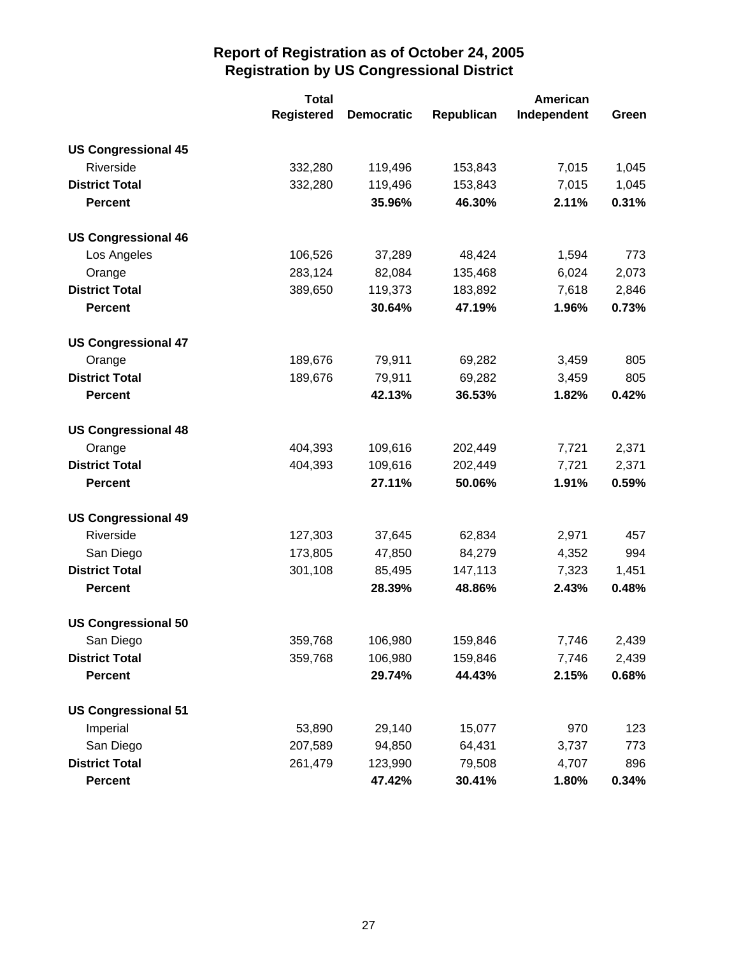|                            | <b>Total</b>      |                   |            | American    |       |  |
|----------------------------|-------------------|-------------------|------------|-------------|-------|--|
|                            | <b>Registered</b> | <b>Democratic</b> | Republican | Independent | Green |  |
| <b>US Congressional 45</b> |                   |                   |            |             |       |  |
| Riverside                  | 332,280           | 119,496           | 153,843    | 7,015       | 1,045 |  |
| <b>District Total</b>      | 332,280           | 119,496           | 153,843    | 7,015       | 1,045 |  |
| <b>Percent</b>             |                   | 35.96%            | 46.30%     | 2.11%       | 0.31% |  |
| <b>US Congressional 46</b> |                   |                   |            |             |       |  |
| Los Angeles                | 106,526           | 37,289            | 48,424     | 1,594       | 773   |  |
| Orange                     | 283,124           | 82,084            | 135,468    | 6,024       | 2,073 |  |
| <b>District Total</b>      | 389,650           | 119,373           | 183,892    | 7,618       | 2,846 |  |
| <b>Percent</b>             |                   | 30.64%            | 47.19%     | 1.96%       | 0.73% |  |
| <b>US Congressional 47</b> |                   |                   |            |             |       |  |
| Orange                     | 189,676           | 79,911            | 69,282     | 3,459       | 805   |  |
| <b>District Total</b>      | 189,676           | 79,911            | 69,282     | 3,459       | 805   |  |
| <b>Percent</b>             |                   | 42.13%            | 36.53%     | 1.82%       | 0.42% |  |
| <b>US Congressional 48</b> |                   |                   |            |             |       |  |
| Orange                     | 404,393           | 109,616           | 202,449    | 7,721       | 2,371 |  |
| <b>District Total</b>      | 404,393           | 109,616           | 202,449    | 7,721       | 2,371 |  |
| <b>Percent</b>             |                   | 27.11%            | 50.06%     | 1.91%       | 0.59% |  |
| <b>US Congressional 49</b> |                   |                   |            |             |       |  |
| Riverside                  | 127,303           | 37,645            | 62,834     | 2,971       | 457   |  |
| San Diego                  | 173,805           | 47,850            | 84,279     | 4,352       | 994   |  |
| <b>District Total</b>      | 301,108           | 85,495            | 147,113    | 7,323       | 1,451 |  |
| <b>Percent</b>             |                   | 28.39%            | 48.86%     | 2.43%       | 0.48% |  |
| <b>US Congressional 50</b> |                   |                   |            |             |       |  |
| San Diego                  | 359,768           | 106,980           | 159,846    | 7,746       | 2,439 |  |
| <b>District Total</b>      | 359,768           | 106,980           | 159,846    | 7,746       | 2,439 |  |
| <b>Percent</b>             |                   | 29.74%            | 44.43%     | 2.15%       | 0.68% |  |
| <b>US Congressional 51</b> |                   |                   |            |             |       |  |
| Imperial                   | 53,890            | 29,140            | 15,077     | 970         | 123   |  |
| San Diego                  | 207,589           | 94,850            | 64,431     | 3,737       | 773   |  |
| <b>District Total</b>      | 261,479           | 123,990           | 79,508     | 4,707       | 896   |  |
| <b>Percent</b>             |                   | 47.42%            | 30.41%     | 1.80%       | 0.34% |  |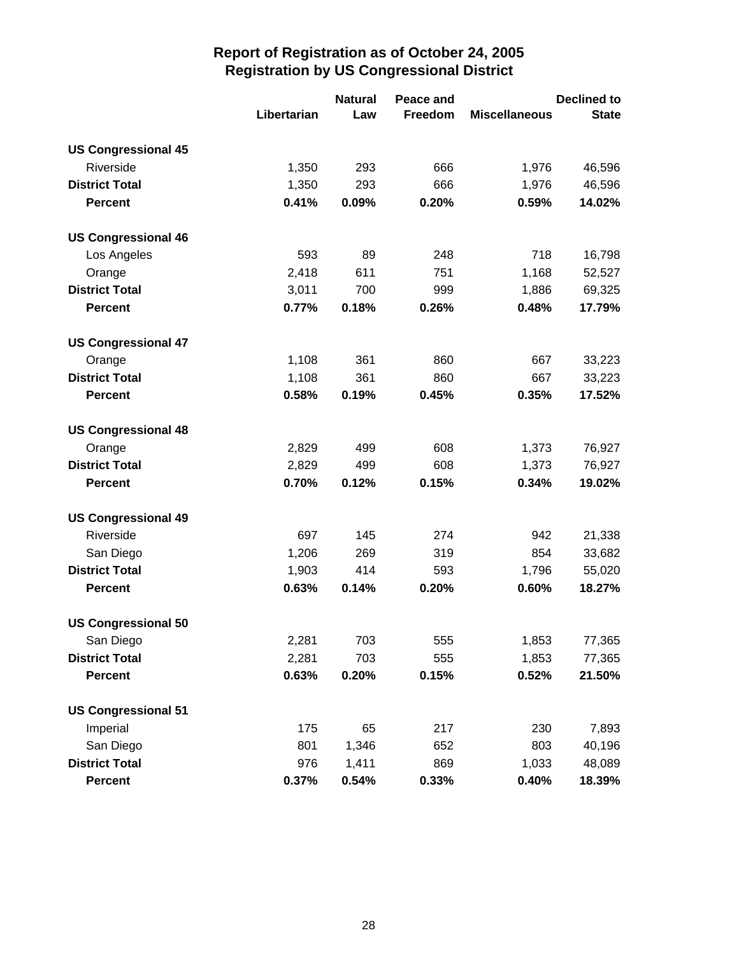|                            |             | <b>Natural</b> | Peace and |                      | <b>Declined to</b> |
|----------------------------|-------------|----------------|-----------|----------------------|--------------------|
|                            | Libertarian | Law            | Freedom   | <b>Miscellaneous</b> | <b>State</b>       |
| <b>US Congressional 45</b> |             |                |           |                      |                    |
| Riverside                  | 1,350       | 293            | 666       | 1,976                | 46,596             |
| <b>District Total</b>      | 1,350       | 293            | 666       | 1,976                | 46,596             |
| <b>Percent</b>             | 0.41%       | 0.09%          | 0.20%     | 0.59%                | 14.02%             |
| <b>US Congressional 46</b> |             |                |           |                      |                    |
| Los Angeles                | 593         | 89             | 248       | 718                  | 16,798             |
| Orange                     | 2,418       | 611            | 751       | 1,168                | 52,527             |
| <b>District Total</b>      | 3,011       | 700            | 999       | 1,886                | 69,325             |
| <b>Percent</b>             | 0.77%       | 0.18%          | 0.26%     | 0.48%                | 17.79%             |
| <b>US Congressional 47</b> |             |                |           |                      |                    |
| Orange                     | 1,108       | 361            | 860       | 667                  | 33,223             |
| <b>District Total</b>      | 1,108       | 361            | 860       | 667                  | 33,223             |
| <b>Percent</b>             | 0.58%       | 0.19%          | 0.45%     | 0.35%                | 17.52%             |
| <b>US Congressional 48</b> |             |                |           |                      |                    |
| Orange                     | 2,829       | 499            | 608       | 1,373                | 76,927             |
| <b>District Total</b>      | 2,829       | 499            | 608       | 1,373                | 76,927             |
| <b>Percent</b>             | 0.70%       | 0.12%          | 0.15%     | 0.34%                | 19.02%             |
| <b>US Congressional 49</b> |             |                |           |                      |                    |
| Riverside                  | 697         | 145            | 274       | 942                  | 21,338             |
| San Diego                  | 1,206       | 269            | 319       | 854                  | 33,682             |
| <b>District Total</b>      | 1,903       | 414            | 593       | 1,796                | 55,020             |
| <b>Percent</b>             | 0.63%       | 0.14%          | 0.20%     | 0.60%                | 18.27%             |
| <b>US Congressional 50</b> |             |                |           |                      |                    |
| San Diego                  | 2,281       | 703            | 555       | 1,853                | 77,365             |
| <b>District Total</b>      | 2,281       | 703            | 555       | 1,853                | 77,365             |
| <b>Percent</b>             | 0.63%       | 0.20%          | 0.15%     | 0.52%                | 21.50%             |
| <b>US Congressional 51</b> |             |                |           |                      |                    |
| Imperial                   | 175         | 65             | 217       | 230                  | 7,893              |
| San Diego                  | 801         | 1,346          | 652       | 803                  | 40,196             |
| <b>District Total</b>      | 976         | 1,411          | 869       | 1,033                | 48,089             |
| <b>Percent</b>             | 0.37%       | 0.54%          | 0.33%     | 0.40%                | 18.39%             |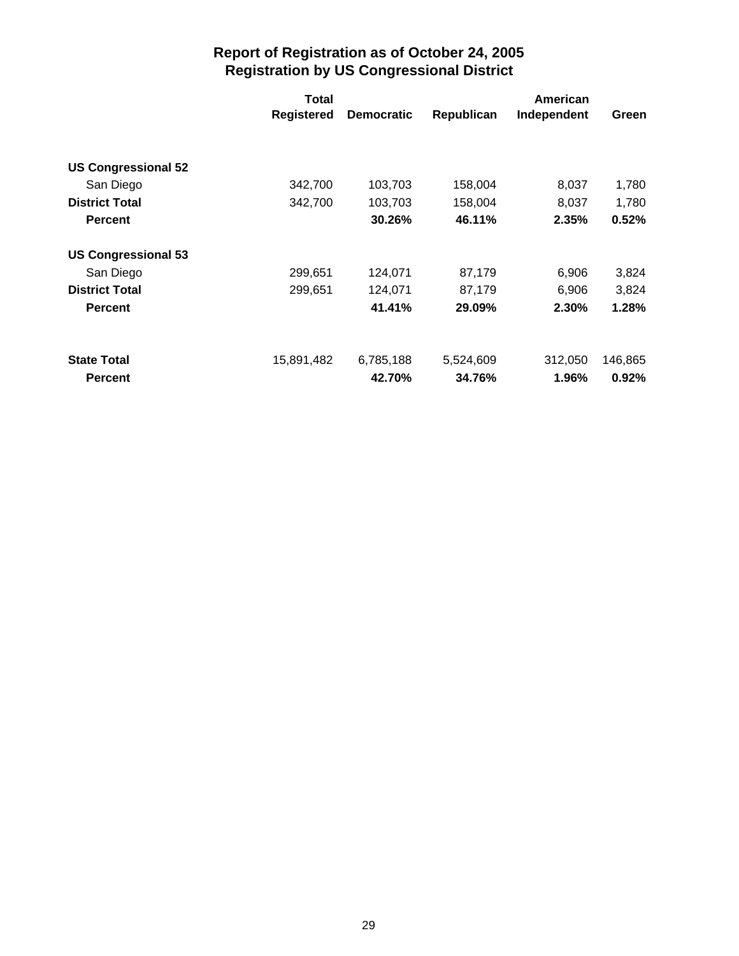|                                      | Total             |                   |            | American    |                  |
|--------------------------------------|-------------------|-------------------|------------|-------------|------------------|
|                                      | <b>Registered</b> | <b>Democratic</b> | Republican | Independent | Green            |
|                                      |                   |                   |            |             |                  |
| <b>US Congressional 52</b>           |                   |                   |            |             |                  |
| San Diego                            | 342,700           | 103,703           | 158,004    | 8,037       | 1,780            |
| <b>District Total</b>                | 342,700           | 103,703           | 158,004    | 8,037       | 1,780            |
| <b>Percent</b>                       |                   | 30.26%            | 46.11%     | 2.35%       | 0.52%            |
| <b>US Congressional 53</b>           |                   |                   |            |             |                  |
| San Diego                            | 299,651           | 124,071           | 87,179     | 6,906       | 3,824            |
| <b>District Total</b>                | 299,651           | 124,071           | 87,179     | 6,906       | 3,824            |
| <b>Percent</b>                       |                   | 41.41%            | 29.09%     | 2.30%       | 1.28%            |
|                                      |                   |                   |            |             |                  |
|                                      |                   | 42.70%            | 34.76%     | 1.96%       |                  |
| <b>State Total</b><br><b>Percent</b> | 15,891,482        | 6,785,188         | 5,524,609  | 312,050     | 146,865<br>0.92% |